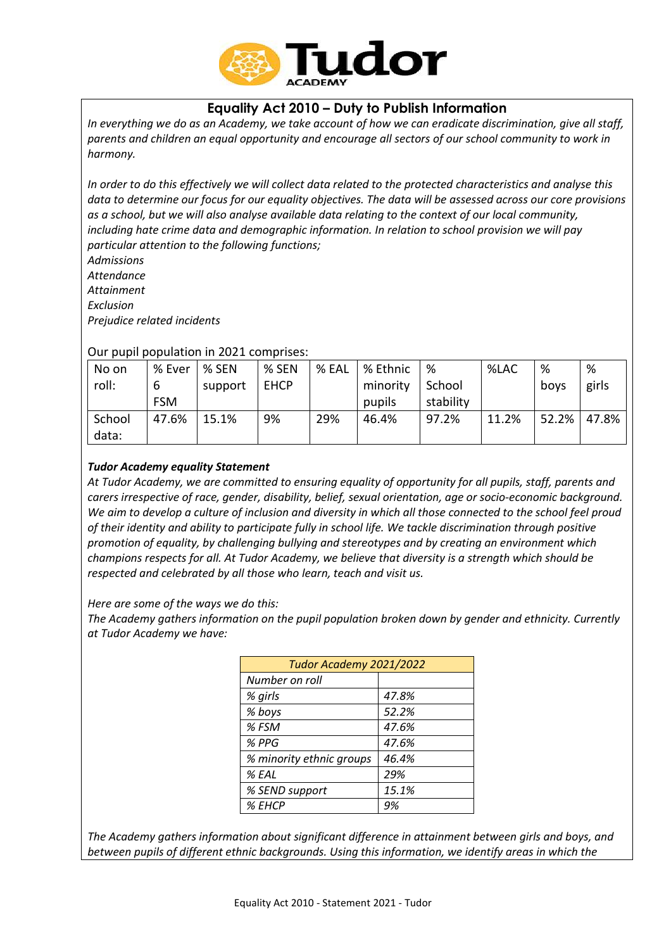

# **Equality Act 2010 – Duty to Publish Information**

*In everything we do as an Academy, we take account of how we can eradicate discrimination, give all staff, parents and children an equal opportunity and encourage all sectors of our school community to work in harmony.*

*In order to do this effectively we will collect data related to the protected characteristics and analyse this data to determine our focus for our equality objectives. The data will be assessed across our core provisions as a school, but we will also analyse available data relating to the context of our local community, including hate crime data and demographic information. In relation to school provision we will pay particular attention to the following functions;*

*Admissions Attendance Attainment Exclusion*

*Prejudice related incidents*

# Our pupil population in 2021 comprises:

| No on  | % Ever     | % SEN   | % SEN       | % EAL | % Ethnic | %         | %LAC  | %     | %     |
|--------|------------|---------|-------------|-------|----------|-----------|-------|-------|-------|
| roll:  | 6          | support | <b>EHCP</b> |       | minority | School    |       | boys  | girls |
|        | <b>FSM</b> |         |             |       | pupils   | stability |       |       |       |
| School | 47.6%      | 15.1%   | 9%          | 29%   | 46.4%    | 97.2%     | 11.2% | 52.2% | 47.8% |
| data:  |            |         |             |       |          |           |       |       |       |

# *Tudor Academy equality Statement*

*At Tudor Academy, we are committed to ensuring equality of opportunity for all pupils, staff, parents and carers irrespective of race, gender, disability, belief, sexual orientation, age or socio-economic background. We aim to develop a culture of inclusion and diversity in which all those connected to the school feel proud of their identity and ability to participate fully in school life. We tackle discrimination through positive promotion of equality, by challenging bullying and stereotypes and by creating an environment which champions respects for all. At Tudor Academy, we believe that diversity is a strength which should be respected and celebrated by all those who learn, teach and visit us.*

*Here are some of the ways we do this:*

*The Academy gathers information on the pupil population broken down by gender and ethnicity. Currently at Tudor Academy we have:*

| Tudor Academy 2021/2022  |       |  |  |  |
|--------------------------|-------|--|--|--|
| Number on roll           |       |  |  |  |
| % girls                  | 47.8% |  |  |  |
| % boys                   | 52.2% |  |  |  |
| % FSM                    | 47.6% |  |  |  |
| % PPG                    | 47.6% |  |  |  |
| % minority ethnic groups | 46.4% |  |  |  |
| % EAL                    | 29%   |  |  |  |
| % SEND support           | 15.1% |  |  |  |
| % EHCP                   | 9%    |  |  |  |

*The Academy gathers information about significant difference in attainment between girls and boys, and between pupils of different ethnic backgrounds. Using this information, we identify areas in which the*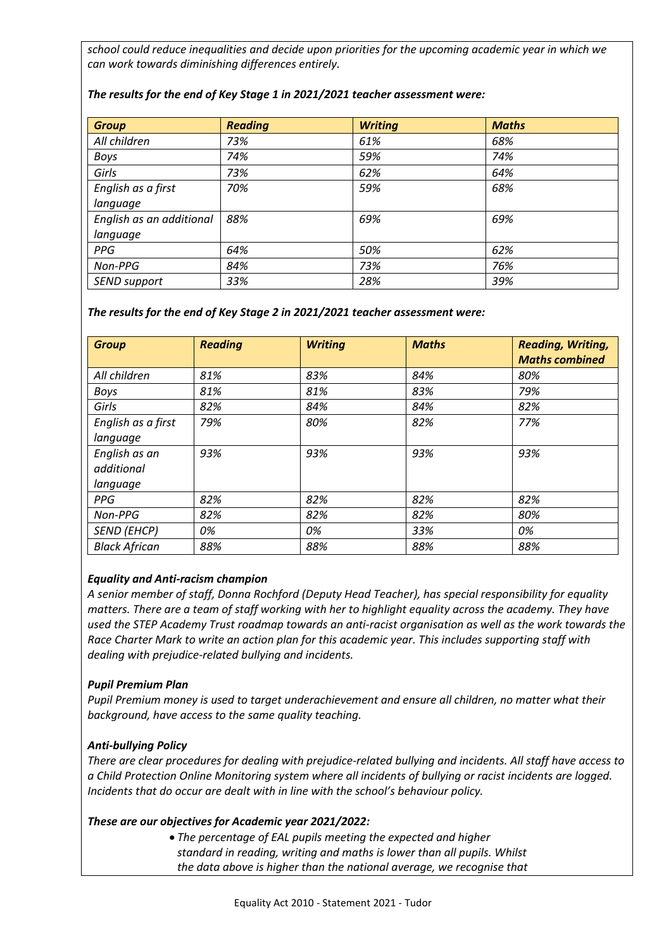*school could reduce inequalities and decide upon priorities for the upcoming academic year in which we can work towards diminishing differences entirely.*

| <b>Group</b>             | <b>Reading</b> | <b>Writing</b> | <b>Maths</b> |
|--------------------------|----------------|----------------|--------------|
| All children             | 73%            | 61%            | 68%          |
| <b>Boys</b>              | 74%            | 59%            | 74%          |
| Girls                    | 73%            | 62%            | 64%          |
| English as a first       | 70%            | 59%            | 68%          |
| language                 |                |                |              |
| English as an additional | 88%            | 69%            | 69%          |
| language                 |                |                |              |
| <b>PPG</b>               | 64%            | 50%            | 62%          |
| Non-PPG                  | 84%            | 73%            | 76%          |
| <b>SEND support</b>      | 33%            | 28%            | 39%          |

### *The results for the end of Key Stage 1 in 2021/2021 teacher assessment were:*

#### *The results for the end of Key Stage 2 in 2021/2021 teacher assessment were:*

| <b>Group</b>         | <b>Reading</b> | <b>Writing</b> | <b>Maths</b> | <b>Reading, Writing,</b><br><b>Maths combined</b> |
|----------------------|----------------|----------------|--------------|---------------------------------------------------|
| All children         | 81%            | 83%            | 84%          | 80%                                               |
| <b>Boys</b>          | 81%            | 81%            | 83%          | 79%                                               |
| Girls                | 82%            | 84%            | 84%          | 82%                                               |
| English as a first   | 79%            | 80%            | 82%          | 77%                                               |
| language             |                |                |              |                                                   |
| English as an        | 93%            | 93%            | 93%          | 93%                                               |
| additional           |                |                |              |                                                   |
| language             |                |                |              |                                                   |
| <b>PPG</b>           | 82%            | 82%            | 82%          | 82%                                               |
| Non-PPG              | 82%            | 82%            | 82%          | 80%                                               |
| <b>SEND (EHCP)</b>   | 0%             | 0%             | 33%          | 0%                                                |
| <b>Black African</b> | 88%            | 88%            | 88%          | 88%                                               |

#### *Equality and Anti-racism champion*

*A senior member of staff, Donna Rochford (Deputy Head Teacher), has special responsibility for equality matters. There are a team of staff working with her to highlight equality across the academy. They have used the STEP Academy Trust roadmap towards an anti-racist organisation as well as the work towards the Race Charter Mark to write an action plan for this academic year. This includes supporting staff with dealing with prejudice-related bullying and incidents.*

#### *Pupil Premium Plan*

*Pupil Premium money is used to target underachievement and ensure all children, no matter what their background, have access to the same quality teaching.*

### *Anti-bullying Policy*

*There are clear procedures for dealing with prejudice-related bullying and incidents. All staff have access to a Child Protection Online Monitoring system where all incidents of bullying or racist incidents are logged. Incidents that do occur are dealt with in line with the school's behaviour policy.*

#### *These are our objectives for Academic year 2021/2022:*

 *The percentage of EAL pupils meeting the expected and higher standard in reading, writing and maths is lower than all pupils. Whilst the data above is higher than the national average, we recognise that*